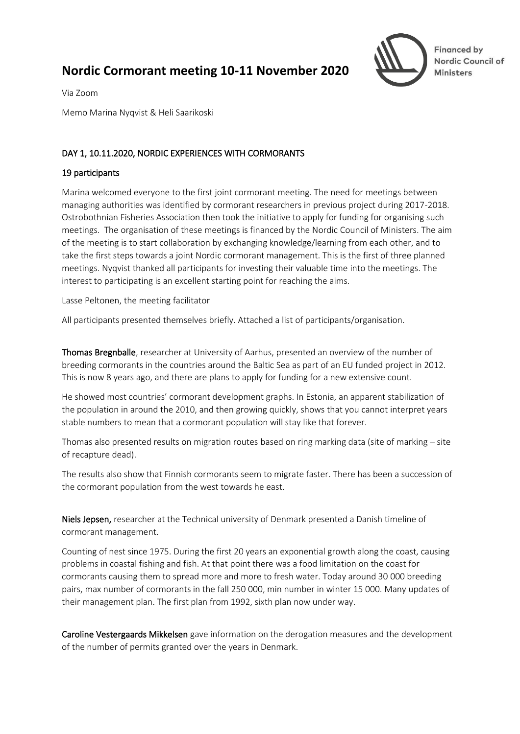# **Nordic Cormorant meeting 10-11 November 2020**



**Financed by** Nordic Council of **Ministers** 

Via Zoom

Memo Marina Nyqvist & Heli Saarikoski

## DAY 1, 10.11.2020, NORDIC EXPERIENCES WITH CORMORANTS

## 19 participants

Marina welcomed everyone to the first joint cormorant meeting. The need for meetings between managing authorities was identified by cormorant researchers in previous project during 2017-2018. Ostrobothnian Fisheries Association then took the initiative to apply for funding for organising such meetings. The organisation of these meetings is financed by the Nordic Council of Ministers. The aim of the meeting is to start collaboration by exchanging knowledge/learning from each other, and to take the first steps towards a joint Nordic cormorant management. This is the first of three planned meetings. Nyqvist thanked all participants for investing their valuable time into the meetings. The interest to participating is an excellent starting point for reaching the aims.

Lasse Peltonen, the meeting facilitator

All participants presented themselves briefly. Attached a list of participants/organisation.

Thomas Bregnballe, researcher at University of Aarhus, presented an overview of the number of breeding cormorants in the countries around the Baltic Sea as part of an EU funded project in 2012. This is now 8 years ago, and there are plans to apply for funding for a new extensive count.

He showed most countries' cormorant development graphs. In Estonia, an apparent stabilization of the population in around the 2010, and then growing quickly, shows that you cannot interpret years stable numbers to mean that a cormorant population will stay like that forever.

Thomas also presented results on migration routes based on ring marking data (site of marking  $-$  site of recapture dead).

The results also show that Finnish cormorants seem to migrate faster. There has been a succession of the cormorant population from the west towards he east.

Niels Jepsen, researcher at the Technical university of Denmark presented a Danish timeline of cormorant management.

Counting of nest since 1975. During the first 20 years an exponential growth along the coast, causing problems in coastal fishing and fish. At that point there was a food limitation on the coast for cormorants causing them to spread more and more to fresh water. Today around 30 000 breeding pairs, max number of cormorants in the fall 250 000, min number in winter 15 000. Many updates of their management plan. The first plan from 1992, sixth plan now under way.

Caroline Vestergaards Mikkelsen gave information on the derogation measures and the development of the number of permits granted over the years in Denmark.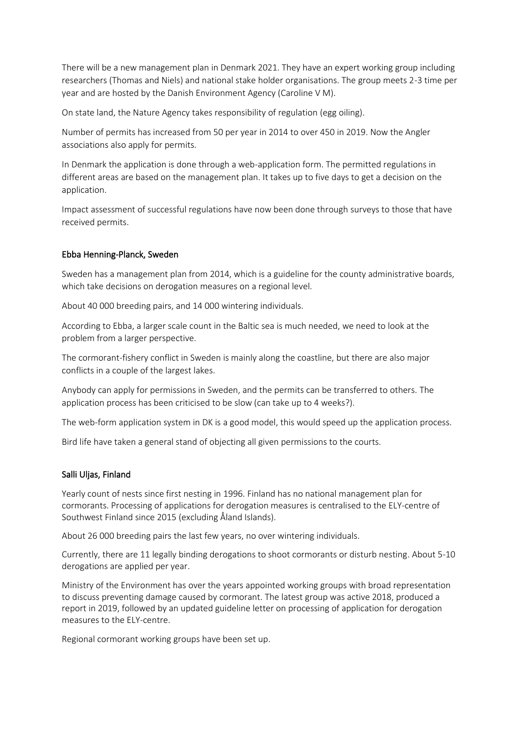There will be a new management plan in Denmark 2021. They have an expert working group including researchers (Thomas and Niels) and national stake holder organisations. The group meets 2-3 time per year and are hosted by the Danish Environment Agency (Caroline V M).

On state land, the Nature Agency takes responsibility of regulation (egg oiling).

Number of permits has increased from 50 per year in 2014 to over 450 in 2019. Now the Angler associations also apply for permits.

In Denmark the application is done through a web-application form. The permitted regulations in different areas are based on the management plan. It takes up to five days to get a decision on the application.

Impact assessment of successful regulations have now been done through surveys to those that have received permits.

### Ebba Henning-Planck, Sweden

Sweden has a management plan from 2014, which is a guideline for the county administrative boards, which take decisions on derogation measures on a regional level.

About 40 000 breeding pairs, and 14 000 wintering individuals.

According to Ebba, a larger scale count in the Baltic sea is much needed, we need to look at the problem from a larger perspective.

The cormorant-fishery conflict in Sweden is mainly along the coastline, but there are also major conflicts in a couple of the largest lakes.

Anybody can apply for permissions in Sweden, and the permits can be transferred to others. The application process has been criticised to be slow (can take up to 4 weeks?).

The web-form application system in DK is a good model, this would speed up the application process.

Bird life have taken a general stand of objecting all given permissions to the courts.

#### Salli Uljas, Finland

Yearly count of nests since first nesting in 1996. Finland has no national management plan for cormorants. Processing of applications for derogation measures is centralised to the ELY-centre of Southwest Finland since 2015 (excluding Åland Islands).

About 26 000 breeding pairs the last few years, no over wintering individuals.

Currently, there are 11 legally binding derogations to shoot cormorants or disturb nesting. About 5-10 derogations are applied per year.

Ministry of the Environment has over the years appointed working groups with broad representation to discuss preventing damage caused by cormorant. The latest group was active 2018, produced a report in 2019, followed by an updated guideline letter on processing of application for derogation measures to the ELY-centre.

Regional cormorant working groups have been set up.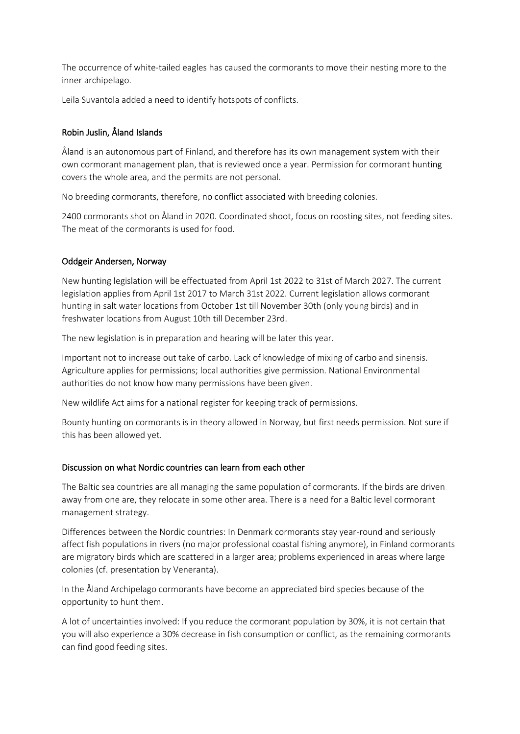The occurrence of white-tailed eagles has caused the cormorants to move their nesting more to the inner archipelago.

Leila Suvantola added a need to identify hotspots of conflicts.

## Robin Juslin, Åland Islands

Åland is an autonomous part of Finland, and therefore has its own management system with their own cormorant management plan, that is reviewed once a year. Permission for cormorant hunting covers the whole area, and the permits are not personal.

No breeding cormorants, therefore, no conflict associated with breeding colonies.

2400 cormorants shot on Åland in 2020. Coordinated shoot, focus on roosting sites, not feeding sites. The meat of the cormorants is used for food.

## Oddgeir Andersen, Norway

New hunting legislation will be effectuated from April 1st 2022 to 31st of March 2027. The current legislation applies from April 1st 2017 to March 31st 2022. Current legislation allows cormorant hunting in salt water locations from October 1st till November 30th (only young birds) and in freshwater locations from August 10th till December 23rd.

The new legislation is in preparation and hearing will be later this year.

Important not to increase out take of carbo. Lack of knowledge of mixing of carbo and sinensis. Agriculture applies for permissions; local authorities give permission. National Environmental authorities do not know how many permissions have been given.

New wildlife Act aims for a national register for keeping track of permissions.

Bounty hunting on cormorants is in theory allowed in Norway, but first needs permission. Not sure if this has been allowed yet.

## Discussion on what Nordic countries can learn from each other

The Baltic sea countries are all managing the same population of cormorants. If the birds are driven away from one are, they relocate in some other area. There is a need for a Baltic level cormorant management strategy.

Differences between the Nordic countries: In Denmark cormorants stay year-round and seriously affect fish populations in rivers (no major professional coastal fishing anymore), in Finland cormorants are migratory birds which are scattered in a larger area; problems experienced in areas where large colonies (cf. presentation by Veneranta).

In the Åland Archipelago cormorants have become an appreciated bird species because of the opportunity to hunt them.

A lot of uncertainties involved: If you reduce the cormorant population by 30%, it is not certain that you will also experience a 30% decrease in fish consumption or conflict, as the remaining cormorants can find good feeding sites.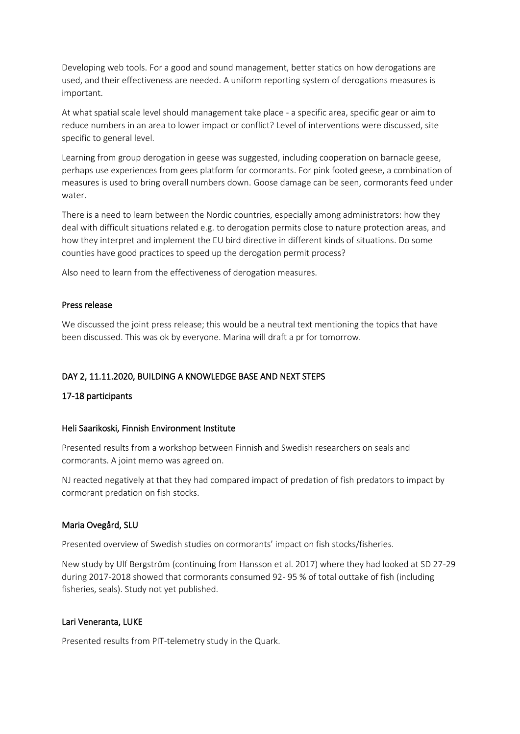Developing web tools. For a good and sound management, better statics on how derogations are used, and their effectiveness are needed. A uniform reporting system of derogations measures is important.

At what spatial scale level should management take place - a specific area, specific gear or aim to reduce numbers in an area to lower impact or conflict? Level of interventions were discussed, site specific to general level.

Learning from group derogation in geese was suggested, including cooperation on barnacle geese, perhaps use experiences from gees platform for cormorants. For pink footed geese, a combination of measures is used to bring overall numbers down. Goose damage can be seen, cormorants feed under water.

There is a need to learn between the Nordic countries, especially among administrators: how they deal with difficult situations related e.g. to derogation permits close to nature protection areas, and how they interpret and implement the EU bird directive in different kinds of situations. Do some counties have good practices to speed up the derogation permit process?

Also need to learn from the effectiveness of derogation measures.

### Press release

We discussed the joint press release; this would be a neutral text mentioning the topics that have been discussed. This was ok by everyone. Marina will draft a pr for tomorrow.

## DAY 2, 11.11.2020, BUILDING A KNOWLEDGE BASE AND NEXT STEPS

## 17-18 participants

#### Heli Saarikoski, Finnish Environment Institute

Presented results from a workshop between Finnish and Swedish researchers on seals and cormorants. A joint memo was agreed on.

NJ reacted negatively at that they had compared impact of predation of fish predators to impact by cormorant predation on fish stocks.

#### Maria Ovegård, SLU

Presented overview of Swedish studies on cormorants' impact on fish stocks/fisheries.

New study by Ulf Bergström (continuing from Hansson et al. 2017) where they had looked at SD 27-29 during 2017-2018 showed that cormorants consumed 92- 95 % of total outtake of fish (including fisheries, seals). Study not yet published.

#### Lari Veneranta, LUKE

Presented results from PIT-telemetry study in the Quark.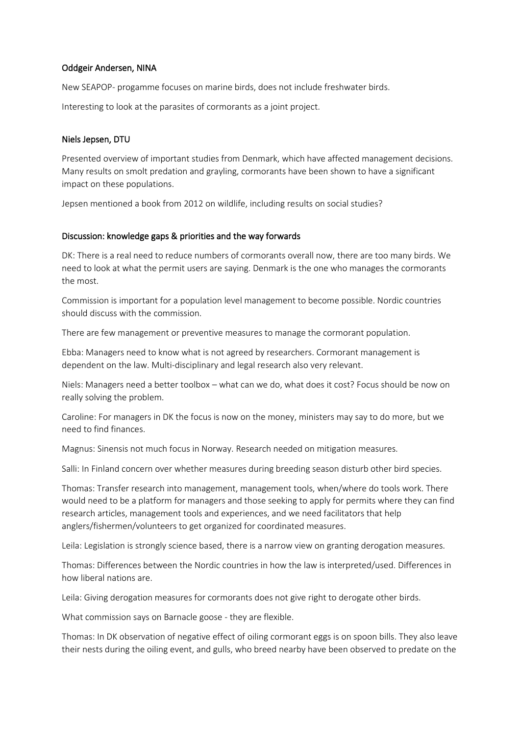### Oddgeir Andersen, NINA

New SEAPOP- progamme focuses on marine birds, does not include freshwater birds.

Interesting to look at the parasites of cormorants as a joint project.

#### Niels Jepsen, DTU

Presented overview of important studies from Denmark, which have affected management decisions. Many results on smolt predation and grayling, cormorants have been shown to have a significant impact on these populations.

Jepsen mentioned a book from 2012 on wildlife, including results on social studies?

#### Discussion: knowledge gaps & priorities and the way forwards

DK: There is a real need to reduce numbers of cormorants overall now, there are too many birds. We need to look at what the permit users are saying. Denmark is the one who manages the cormorants the most.

Commission is important for a population level management to become possible. Nordic countries should discuss with the commission.

There are few management or preventive measures to manage the cormorant population.

Ebba: Managers need to know what is not agreed by researchers. Cormorant management is dependent on the law. Multi-disciplinary and legal research also very relevant.

Niels: Managers need a better toolbox – what can we do, what does it cost? Focus should be now on really solving the problem.

Caroline: For managers in DK the focus is now on the money, ministers may say to do more, but we need to find finances.

Magnus: Sinensis not much focus in Norway. Research needed on mitigation measures.

Salli: In Finland concern over whether measures during breeding season disturb other bird species.

Thomas: Transfer research into management, management tools, when/where do tools work. There would need to be a platform for managers and those seeking to apply for permits where they can find research articles, management tools and experiences, and we need facilitators that help anglers/fishermen/volunteers to get organized for coordinated measures.

Leila: Legislation is strongly science based, there is a narrow view on granting derogation measures.

Thomas: Differences between the Nordic countries in how the law is interpreted/used. Differences in how liberal nations are.

Leila: Giving derogation measures for cormorants does not give right to derogate other birds.

What commission says on Barnacle goose - they are flexible.

Thomas: In DK observation of negative effect of oiling cormorant eggs is on spoon bills. They also leave their nests during the oiling event, and gulls, who breed nearby have been observed to predate on the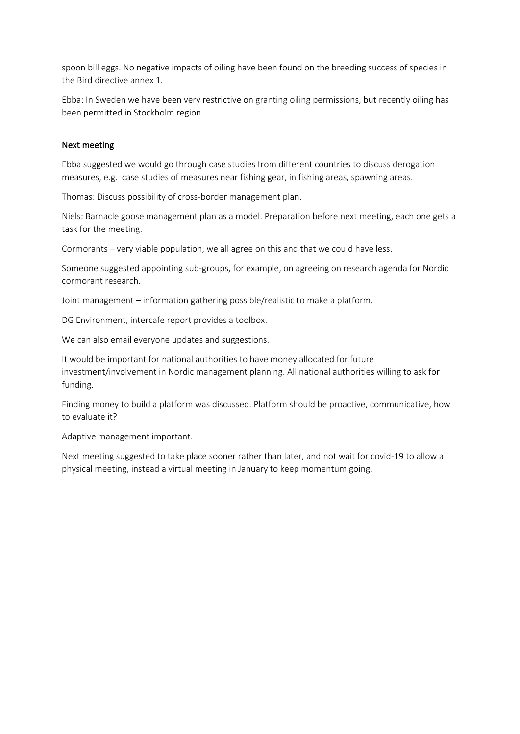spoon bill eggs. No negative impacts of oiling have been found on the breeding success of species in the Bird directive annex 1.

Ebba: In Sweden we have been very restrictive on granting oiling permissions, but recently oiling has been permitted in Stockholm region.

#### Next meeting

Ebba suggested we would go through case studies from different countries to discuss derogation measures, e.g. case studies of measures near fishing gear, in fishing areas, spawning areas.

Thomas: Discuss possibility of cross-border management plan.

Niels: Barnacle goose management plan as a model. Preparation before next meeting, each one gets a task for the meeting.

Cormorants – very viable population, we all agree on this and that we could have less.

Someone suggested appointing sub-groups, for example, on agreeing on research agenda for Nordic cormorant research.

Joint management – information gathering possible/realistic to make a platform.

DG Environment, intercafe report provides a toolbox.

We can also email everyone updates and suggestions.

It would be important for national authorities to have money allocated for future investment/involvement in Nordic management planning. All national authorities willing to ask for funding.

Finding money to build a platform was discussed. Platform should be proactive, communicative, how to evaluate it?

Adaptive management important.

Next meeting suggested to take place sooner rather than later, and not wait for covid-19 to allow a physical meeting, instead a virtual meeting in January to keep momentum going.